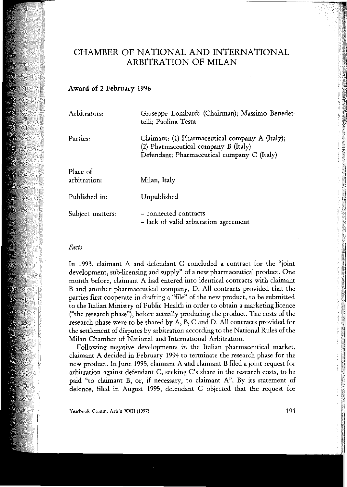# CHAMBER OF NATIONAL AND INTERNATIONAL ARBITRATION OF MILAN

## Award of 2 February 1996

| Arbitrators:             | Giuseppe Lombardi (Chairman); Massimo Benedet-<br>telli; Paolina Testa                                                                 |
|--------------------------|----------------------------------------------------------------------------------------------------------------------------------------|
| Parties:                 | Claimant: (1) Pharmaceutical company A (Italy);<br>(2) Pharmaceutical company B (Italy)<br>Defendant: Pharmaceutical company C (Italy) |
| Place of<br>arbitration: | Milan, Italy                                                                                                                           |
| Published in:            | Unpublished                                                                                                                            |
| Subject matters:         | - connected contracts<br>- lack of valid arbitration agreement                                                                         |

## *Facts*

In 1993, claimant A and defendant C concluded a contract for the "joint development, sub-licensing and supply" of a new pharmaceutical product. One month before, claimant A had entered into identical contracts with claimant Band another pharmaceutical company, D. Ali contracts provided that the parties first cooperate in drafting a "file" of the new product, to be submitted to the Italian Ministry of Public Health in order to obtain a marketing licence ("the research phase"), before actually producing the product. The costs of the research phase were to be shared by A, B, C and D. Ali contracts provided for the settlement of disputes by arbitration according to the National Rules of the Milan Chamber of National and International Arbitration.

Following negative developments in the Italian pharmaceutical market, claimant A decided in February 1994 to terminate the research phase for the new ptoduct. InJune 1995, claimant A and claimant B filed a joint request for arbitration against defendant C, seeking C's share in the tesearch costs, to be paid "to claimant B, or, if necessary, to claimant A". By its statement of defence, filed in August 1995, defendant C objected that the request for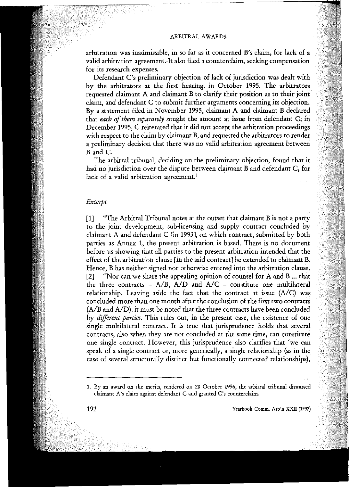## ARBITRAL AWARDS

arbitration was inadmissible, in so far as it concerned B's claim, for lack of a valid arbitration agreement. It also filed a counterclaim, seeking compensation **for its research expenses.**

Defendant C's preliminary objection of lack of jurisdiction was dealt with by the arbitrators at the first hearing, in October 1995. The arbitrators requested claimant A and claimant B to clarify their position as to their joint claim, and defendant C to submit further arguments concerning its objection. By a statement filed in November 1995, claimant A and claimant B declared that *each* of *them separately* sought the amount at issue from defendant C; in December 1995, C reiterated that it did not accept the arbitration proceedings with respect to the claim by claimant B, and requested the arbitrators to render a preliminary decision that there was no valid arbitration agreement between Band C.

The arbitral tribunal, deciding on the preliminary objection, found that it had no jurisdiction over the dispute between claimant B and defendant C, for lack of a valid arbitration agreement.<sup>1</sup>

#### *Exeerpt*

[1] "The Arbitrai Tribunal notes at the outset that claimant B is not a party to the joint development, sub-licensing and supply contract concluded by claimant A and defendant C [in 1993], on which contract, submitted by both parties as Annex l, the present arbitration is based. There is no document before us showing that ali parties to the present arbitration intended that the effect of the arbitration clause [in the said contract] be extended to claimant B. Hence, B has neither signed nor otherwise entered into the arbitration clause. [2] "Nor can we share the appealing opinion of counse1 for A and B ... that the three contracts - A/B, A/D and A/C - constitute one multilateral relationship. Leaving aside the fact that the contract at issue  $(A/C)$  was concluded more than one month after the conclusion of the first two contracts (A/B and A/D), it must be noted that the three contracts have been concluded by *diffirent parties.* This rules out, in the present case, the existence of one single multilateral contract. It is true that jurisprudenee holds that several **contracts, also when they are not concluded at the same time, can eonstitute ane single contrae!. However, this jurisprudence also c1arifies that 'we ean** speak of a single contract or, more generica11y, a single relationship (as in the case of several structura11y distinct but functiona11y connected relationships),

**<sup>1.</sup> By an award on the merits, rendered on 28 October 1996, the arbitraI tribunal dismissed claimant A's claim against defendant C and granted C's counterclaim.**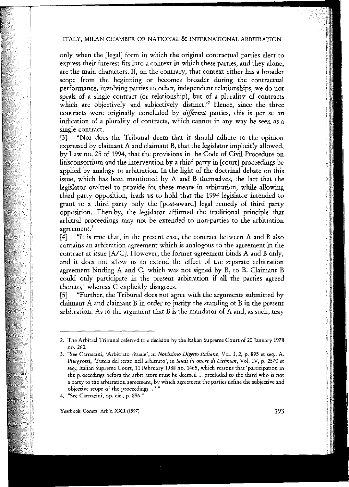# ITALY, MILAN CHAMBER OF NATIONAL & INTERNATIONAL ARBITRATION

only when the [legai] form in which the originai contractual parties elect to express their interest fits into a context in which these parties, and they alone, are the main characters. If, on the contrary, that context either has a broader scope from the beginning or becomes broader during the contractual performance, involving parties to other, independent relationships, we do not speak of a single contract (or relationship), but of a plurality of contracts which are objectively and subjectively distinct.<sup>22</sup> Hence, since the three contracts were originally concluded by *different* parties, this is per se an indication of a plurality of contracts, which cannot in any way be seen as a single contract.

[3] "Nor does the Tribunal deem that it should adhere to the opinion expressed by claimant A and claimant B, that the legislator implicitly allowed, by Law no. 25 of 1994, that the provisions in the Code of Civil Procedure on litisconsortium and the intervention by a third party in [court] proceedings be applied by analogy to arbitration. In the light of the doctrinal debate on this issue, which has been mentioned by A and B themselves, the fact that the legislator omitted to provide for these means in arbitration, while allowing third party opposition, leads us to hold that the 1994 legislator intended to grant to a third party only the [post-award] legaI remedy of third party opposition. Thereby, the legislator affirmed the traditional principle that arbitrai proceedings may not be extended to non-parties to the arbitration **agreement.<sup>J</sup>**

[4] "It is true that, in the present case, the contract between A and B also **contains an arbitration agreement wruch is analogous to the agreement in the** contract at issue [A/C]. However, the former agreement binds A and B only, and it does not allow ns to extend the effect of the separate arbitration agreement binding A and C, which was not signed by B, to B. Claimant B conld only participate in the present arbitration if ali the parties agreed thereto, $4$  whereas C explicitly disagrees.

[5] "Further, the Tribunal does not agree with the arguments submitted by daimant A and claimant B in order to jnstify the standing of B in the present arbitration. As to the argument that B is the mandator of A and, as such, may

**Yearbook Comm. Arb'n xxn (1997)** 193

**<sup>2.</sup> The Arbitrai Tribuna! referred to a decision by the Italian Supreme Court of 20 January 1978** no. 260.

**<sup>3.</sup> "See Carnaeini, 'Arbitrato rituale'. in** *Novissimo Digesto Italiano,* **VoI. I, 2, p. 895 et seq.; A. Piergrossi, <Tutela del terzo nell'arbitrato', in** *Studi in onore di Liebman,* **VoI. IV, p. 2570 et seq.; Italian Supreme Court, 11 February 1988 no. 1465. which reasons thar 'participation in the proceedings before the arbitrators illust be deemed ... precluded tO the third who is nor a party to the arbitration agreement, by which agreement the parties defme the subjective and objective scope of the proceedings ...o."**

**<sup>4.</sup> "See Carnacini, op. cit., p. 896."**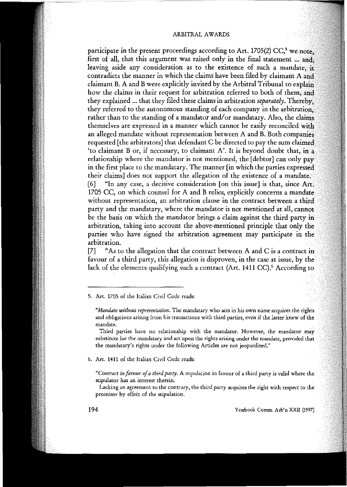participate in the present proceedings according to Art. 1705(2)  $CC<sup>5</sup>$  we note first of all, that this argument was raised only in the final statement ... and leaving aside any consideration as to the existence of such a mandate in contradicts the manner in which the claims have been filed by claimant A and claimant B. A and B were explicitly invited by the Arbitral Tribunal to explain how the claims in their request for arbitration referred to both of them, and they explained ... that they filed these claims in arbitration *separately*. Thereby. they referred to the autonomous standing of each company in the arbitration. rather than to the standing of a mandator and/or mandatary. Also, the claims themselves are expressed in a manner which cannot be easily reconciled with an alleged mandate without representation between A and B. Both companies requested [the arbitrators] that defendant C be directed to pay the sum claimed 'to claimant B or, if necessary, to claimant A'. It is beyond doubt that, relationship where the mandator is not mentioned, the [debtor] can only pay in the first place to the mandatary. The manner [in which the parties expressed their claims] does not support the allegation of the existence of a mandate. [6] "In any case, a decisive consideration [on this issue] is that, since Art. 1705 CC, on which counsel for A and B relies, explicitly concerns a mandate **without representation, an arbitration clause in the contraet between a** party and the mandatary, where the mandator is not mentioned at all, cannot be the basis on which the mandator brings a claim against the third party in arbitration, taking into account the above-mentioned principle that only the parties who have signed the arbitration agreement may participate in the **arbitration.**

[7] "As to the allegation that the contract between A and C is a contract in favour of a third party, this allegation is disproven, in the case at issue, by the lack of the elements qualifying such a contract (Art. 1411 CC).<sup>6</sup> According to

**5. Art. 1705 cf the Italian Civil Code reads:**

*"Mandate without representation.* **The mandatary who acts in his own name acquires the rights and obligations arising from his transactions with third parties, even if the latter knew af the mandate.**

**Thircl parties have no relationship with the mandator. However, the mandator may substitute for the mandatary and act upon the rights arising under the mandate, provided that: the mandatary's rights under the following Articles are not jeopardized."**

**6. Art. 1411 of the Italian Civil Code reads:**

*"Contract in lavour 01a third party.* **A stipulation in favour of a third party is valid where the stipulator has an interest therein.**

**Laeking an agreement to the eontrary, the third party aequires the right with respeet to the promisor by effect of the stipulation.**

194 **Yearbook Comm. Arb'n xxn (1997)**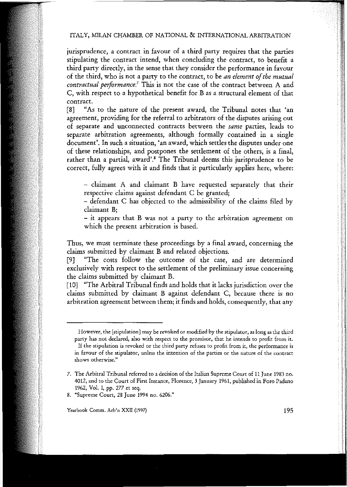# ITALY, MILAN CHAMBER OF NATIONAL & INTERNATIONAL ARBITRATION

jurisprudence, a contract in favour of a third party requires that the parties stipulating the contract intend, when concluding the contract, to benefit a third party directly, in the sense that they consider the performance in favour of the third, who is not a party to the contract, to be *an element ofthe mutuai contractual performance.'* This is not *the* case of the contract between A and C, with respect to a hypothetical benefit for B as a structural element of that **contrae!.**

[8] "As to the nature of the present award, the Tribunal notes that 'an *agreement,* providing for the referral to arbitrators of *the* disputes arising out **af separate and unconnected contracts between the** *same* **parties, leads to** separate arbitration agreements, although formally contained in a single **document'. In such a situation, 'an award, which settles the disputes under arre** of these relationships, and postpones the settlement of the others, is a final, rather than a partial, award'.<sup>8</sup> The Tribunal deems this jurisprudence to be correct, fully agrees with it and finds that it particularly applies here, where:

- claimant A and claimant B have requested separately that their respective claims against defendant C be granted;

- defendant C has objected to the admissibility of the claims filed by **claimant B;**

- it appears that B was not a party to the arbitration agreement on which the present arbitration is based.

Thus, we must terminate these proceedings by a final award, concerning the  $clains$  submitted by claimant  $\overline{B}$  and related objections.

[9] "The costs follow the outcome of the case, and are determined exclusively with respect to the settlement of the preliminary issue concerning the claims submitted by claimant B.

[10] "The Arbitral Tribunal finds and holds that it lacks jurisdiction over the claims subrnitted by claimant B against defendant C, because there is no arbitration agreement between them; it finds and holds, consequently, that any

**However, the [stipulation] may be revoked or modified by the stipulator, as long as the third party has not declared, alsa with respeet to the promisor, thar he intends to prafit from it. If the stipulation is revoked or the third party refuses to prafit from it, the performance is in favour af the stipulator, unless the intention af the parties or the nature of the contrae! shows otherwise."**

**<sup>7.</sup> The Arbitral Tribunal referred to a decision of the Italian Supreme Court of 11 June 1983 no. 4012, and to the Court of First Instance, Florence, 3 January 1961, published in Foro Padano** 1962, Vol. I, pp. 277 et seq.

**<sup>8.</sup> "Supreme Court, 28 June 1994 no. 6206."**